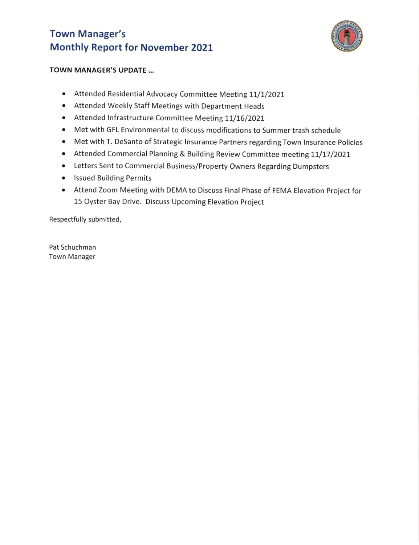## Town Manager's Monthly Report for November 2027



## TOWN MANAGER'S UPDATE ...

- Attended Residential Advocacy Committee Meeting 11/1/2021
- o Attended Weekly Staff Meetings with Department Heads
- . Attended Infrastructure Committee Meeting 11/16/2021
- . Met with GFL Environmental to discuss modifications to Summer trash schedule
- . Met with T. DeSanto of Strategic lnsurance Partners regarding Town lnsurance Policies
- Attended Commercial Planning & Building Review Committee meeting 11/17/2021
- . Letters Sent to Commercial Business/Property Owners Regarding Dumpsters
- **•** Issued Building Permits
- . Attend Zoom Meeting with DEMA to Discuss Final Phase of FEMA Elevation Project for 15 Oyster Bay Drive. Discuss Upcoming Elevation Project

Respectfully submitted,

Pat Schuchman Town Manager